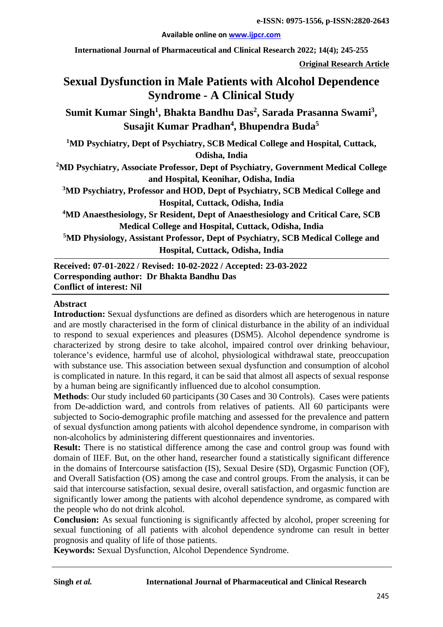**Available online on [www.ijpcr.com](http://www.ijpcr.com/)**

**International Journal of Pharmaceutical and Clinical Research 2022; 14(4); 245-255**

**Original Research Article**

# **Sexual Dysfunction in Male Patients with Alcohol Dependence Syndrome - A Clinical Study**

Sumit Kumar Singh<sup>1</sup>, Bhakta Bandhu Das<sup>2</sup>, Sarada Prasanna Swami<sup>3</sup>, **Susajit Kumar Pradhan4 , Bhupendra Buda5**

**1 MD Psychiatry, Dept of Psychiatry, SCB Medical College and Hospital, Cuttack, Odisha, India**

**2 MD Psychiatry, Associate Professor, Dept of Psychiatry, Government Medical College and Hospital, Keonihar, Odisha, India**

**3 MD Psychiatry, Professor and HOD, Dept of Psychiatry, SCB Medical College and Hospital, Cuttack, Odisha, India**

**4 MD Anaesthesiology, Sr Resident, Dept of Anaesthesiology and Critical Care, SCB Medical College and Hospital, Cuttack, Odisha, India**

**5 MD Physiology, Assistant Professor, Dept of Psychiatry, SCB Medical College and Hospital, Cuttack, Odisha, India**

**Received: 07-01-2022 / Revised: 10-02-2022 / Accepted: 23-03-2022 Corresponding author: Dr Bhakta Bandhu Das Conflict of interest: Nil**

#### **Abstract**

**Introduction:** Sexual dysfunctions are defined as disorders which are heterogenous in nature and are mostly characterised in the form of clinical disturbance in the ability of an individual to respond to sexual experiences and pleasures (DSM5). Alcohol dependence syndrome is characterized by strong desire to take alcohol, impaired control over drinking behaviour, tolerance's evidence, harmful use of alcohol, physiological withdrawal state, preoccupation with substance use. This association between sexual dysfunction and consumption of alcohol is complicated in nature. In this regard, it can be said that almost all aspects of sexual response by a human being are significantly influenced due to alcohol consumption.

**Methods**: Our study included 60 participants (30 Cases and 30 Controls). Cases were patients from De-addiction ward, and controls from relatives of patients. All 60 participants were subjected to Socio-demographic profile matching and assessed for the prevalence and pattern of sexual dysfunction among patients with alcohol dependence syndrome, in comparison with non-alcoholics by administering different questionnaires and inventories.

**Result:** There is no statistical difference among the case and control group was found with domain of IIEF. But, on the other hand, researcher found a statistically significant difference in the domains of Intercourse satisfaction (IS), Sexual Desire (SD), Orgasmic Function (OF), and Overall Satisfaction (OS) among the case and control groups. From the analysis, it can be said that intercourse satisfaction, sexual desire, overall satisfaction, and orgasmic function are significantly lower among the patients with alcohol dependence syndrome, as compared with the people who do not drink alcohol.

**Conclusion:** As sexual functioning is significantly affected by alcohol, proper screening for sexual functioning of all patients with alcohol dependence syndrome can result in better prognosis and quality of life of those patients.

**Keywords:** Sexual Dysfunction, Alcohol Dependence Syndrome.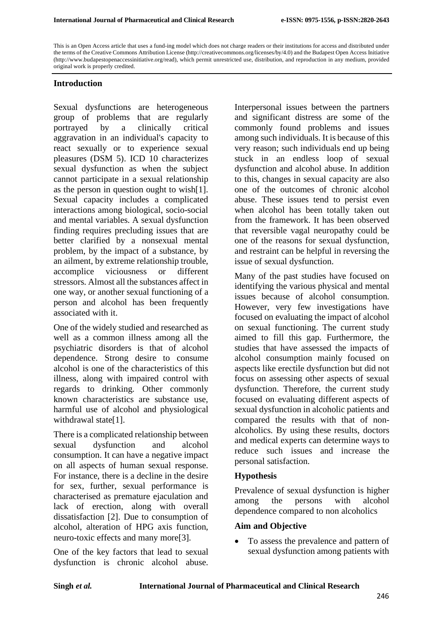This is an Open Access article that uses a fund-ing model which does not charge readers or their institutions for access and distributed under the terms of the Creative Commons Attribution License (http://creativecommons.org/licenses/by/4.0) and the Budapest Open Access Initiative (http://www.budapestopenaccessinitiative.org/read), which permit unrestricted use, distribution, and reproduction in any medium, provided original work is properly credited.

#### **Introduction**

Sexual dysfunctions are heterogeneous group of problems that are regularly portrayed by a clinically critical aggravation in an individual's capacity to react sexually or to experience sexual pleasures (DSM 5). ICD 10 characterizes sexual dysfunction as when the subject cannot participate in a sexual relationship as the person in question ought to wish[1]. Sexual capacity includes a complicated interactions among biological, socio-social and mental variables. A sexual dysfunction finding requires precluding issues that are better clarified by a nonsexual mental problem, by the impact of a substance, by an ailment, by extreme relationship trouble, accomplice viciousness or different stressors. Almost all the substances affect in one way, or another sexual functioning of a person and alcohol has been frequently associated with it.

One of the widely studied and researched as well as a common illness among all the psychiatric disorders is that of alcohol dependence. Strong desire to consume alcohol is one of the characteristics of this illness, along with impaired control with regards to drinking. Other commonly known characteristics are substance use, harmful use of alcohol and physiological withdrawal state[1].

There is a complicated relationship between sexual dysfunction and alcohol consumption. It can have a negative impact on all aspects of human sexual response. For instance, there is a decline in the desire for sex, further, sexual performance is characterised as premature ejaculation and lack of erection, along with overall dissatisfaction [2]. Due to consumption of alcohol, alteration of HPG axis function, neuro-toxic effects and many more[3].

One of the key factors that lead to sexual dysfunction is chronic alcohol abuse.

Interpersonal issues between the partners and significant distress are some of the commonly found problems and issues among such individuals. It is because of this very reason; such individuals end up being stuck in an endless loop of sexual dysfunction and alcohol abuse. In addition to this, changes in sexual capacity are also one of the outcomes of chronic alcohol abuse. These issues tend to persist even when alcohol has been totally taken out from the framework. It has been observed that reversible vagal neuropathy could be one of the reasons for sexual dysfunction, and restraint can be helpful in reversing the issue of sexual dysfunction.

Many of the past studies have focused on identifying the various physical and mental issues because of alcohol consumption. However, very few investigations have focused on evaluating the impact of alcohol on sexual functioning. The current study aimed to fill this gap. Furthermore, the studies that have assessed the impacts of alcohol consumption mainly focused on aspects like erectile dysfunction but did not focus on assessing other aspects of sexual dysfunction. Therefore, the current study focused on evaluating different aspects of sexual dysfunction in alcoholic patients and compared the results with that of nonalcoholics. By using these results, doctors and medical experts can determine ways to reduce such issues and increase the personal satisfaction.

#### **Hypothesis**

Prevalence of sexual dysfunction is higher among the persons with alcohol dependence compared to non alcoholics

#### **Aim and Objective**

• To assess the prevalence and pattern of sexual dysfunction among patients with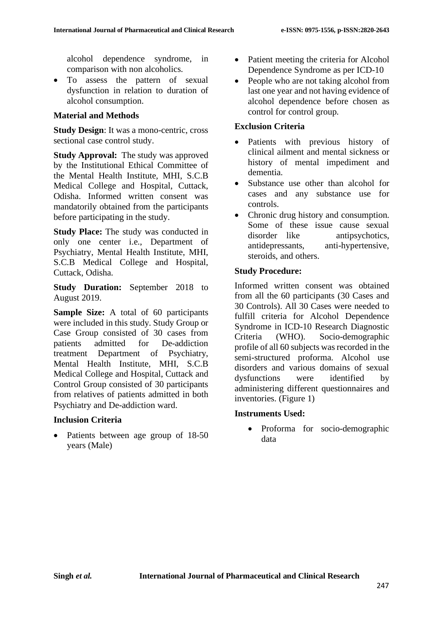alcohol dependence syndrome, in comparison with non alcoholics.

• To assess the pattern of sexual dysfunction in relation to duration of alcohol consumption.

## **Material and Methods**

**Study Design**: It was a mono-centric, cross sectional case control study.

**Study Approval:** The study was approved by the Institutional Ethical Committee of the Mental Health Institute, MHI, S.C.B Medical College and Hospital, Cuttack, Odisha. Informed written consent was mandatorily obtained from the participants before participating in the study.

**Study Place:** The study was conducted in only one center i.e., Department of Psychiatry, Mental Health Institute, MHI, S.C.B Medical College and Hospital, Cuttack, Odisha.

**Study Duration:** September 2018 to August 2019.

**Sample Size:** A total of 60 participants were included in this study. Study Group or Case Group consisted of 30 cases from patients admitted for De-addiction treatment Department of Psychiatry, Mental Health Institute, MHI, S.C.B Medical College and Hospital, Cuttack and Control Group consisted of 30 participants from relatives of patients admitted in both Psychiatry and De-addiction ward.

#### **Inclusion Criteria**

Patients between age group of 18-50 years (Male)

- Patient meeting the criteria for Alcohol Dependence Syndrome as per ICD-10
- People who are not taking alcohol from last one year and not having evidence of alcohol dependence before chosen as control for control group.

## **Exclusion Criteria**

- Patients with previous history of clinical ailment and mental sickness or history of mental impediment and dementia.
- Substance use other than alcohol for cases and any substance use for controls.
- Chronic drug history and consumption. Some of these issue cause sexual disorder like antipsychotics, antipsychotics, antidepressants, anti-hypertensive, steroids, and others.

#### **Study Procedure:**

Informed written consent was obtained from all the 60 participants (30 Cases and 30 Controls). All 30 Cases were needed to fulfill criteria for Alcohol Dependence Syndrome in ICD-10 Research Diagnostic Criteria (WHO). Socio-demographic profile of all 60 subjects was recorded in the semi-structured proforma. Alcohol use disorders and various domains of sexual dysfunctions were identified by administering different questionnaires and inventories. (Figure 1)

## **Instruments Used:**

• Proforma for socio-demographic data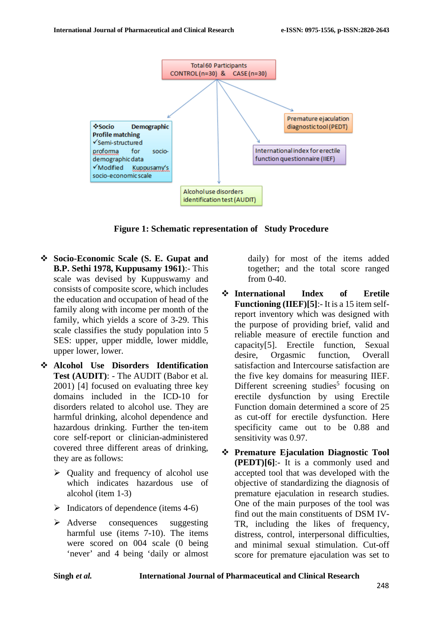

**Figure 1: Schematic representation of Study Procedure**

- **Socio-Economic Scale (S. E. Gupat and B.P. Sethi 1978, Kuppusamy 1961)**:- This scale was devised by Kuppuswamy and consists of composite score, which includes the education and occupation of head of the family along with income per month of the family, which yields a score of 3-29. This scale classifies the study population into 5 SES: upper, upper middle, lower middle, upper lower, lower.
- **Alcohol Use Disorders Identification Test (AUDIT)**: - The AUDIT (Babor et al. 2001) [4] focused on evaluating three key domains included in the ICD-10 for disorders related to alcohol use. They are harmful drinking, alcohol dependence and hazardous drinking. Further the ten-item core self-report or clinician-administered covered three different areas of drinking, they are as follows:
	- $\triangleright$  Quality and frequency of alcohol use which indicates hazardous use of alcohol (item 1-3)
	- $\triangleright$  Indicators of dependence (items 4-6)
	- $\triangleright$  Adverse consequences suggesting harmful use (items 7-10). The items were scored on 004 scale (0 being 'never' and 4 being 'daily or almost

daily) for most of the items added together; and the total score ranged from 0-40.

- **International Index of Eretile Functioning (IIEF)[5]**:- It is a 15 item selfreport inventory which was designed with the purpose of providing brief, valid and reliable measure of erectile function and capacity[5]. Erectile function, Sexual desire, Orgasmic function, Overall satisfaction and Intercourse satisfaction are the five key domains for measuring IIEF. Different screening studies<sup>5</sup> focusing on erectile dysfunction by using Erectile Function domain determined a score of 25 as cut-off for erectile dysfunction. Here specificity came out to be 0.88 and sensitivity was 0.97.
- **Premature Ejaculation Diagnostic Tool (PEDT)[6]**:- It is a commonly used and accepted tool that was developed with the objective of standardizing the diagnosis of premature ejaculation in research studies. One of the main purposes of the tool was find out the main constituents of DSM IV-TR, including the likes of frequency, distress, control, interpersonal difficulties, and minimal sexual stimulation. Cut-off score for premature ejaculation was set to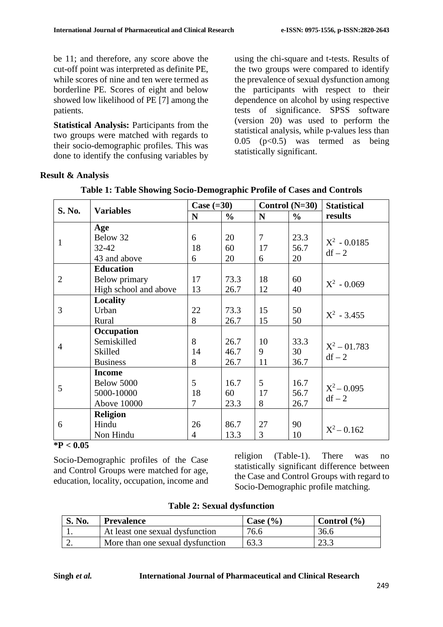be 11; and therefore, any score above the cut-off point was interpreted as definite PE, while scores of nine and ten were termed as borderline PE. Scores of eight and below showed low likelihood of PE [7] among the patients.

**Statistical Analysis:** Participants from the two groups were matched with regards to their socio-demographic profiles. This was done to identify the confusing variables by

using the chi-square and t-tests. Results of the two groups were compared to identify the prevalence of sexual dysfunction among the participants with respect to their dependence on alcohol by using respective tests of significance. SPSS software (version 20) was used to perform the statistical analysis, while p-values less than  $0.05$  (p<0.5) was termed as being statistically significant.

## **Result & Analysis**

| S. No.         | <b>Variables</b>      |    | Case $(=30)$  |                | Control $(N=30)$<br><b>Statistical</b> |                |
|----------------|-----------------------|----|---------------|----------------|----------------------------------------|----------------|
|                |                       | N  | $\frac{0}{0}$ | N              | $\frac{0}{0}$                          | results        |
|                | Age                   |    |               |                |                                        |                |
| 1              | Below 32              | 6  | 20            | $\overline{7}$ | 23.3                                   | $X^2 - 0.0185$ |
|                | 32-42                 | 18 | 60            | 17             | 56.7                                   | $df - 2$       |
|                | 43 and above          | 6  | 20            | 6              | 20                                     |                |
|                | <b>Education</b>      |    |               |                |                                        |                |
| $\overline{2}$ | Below primary         | 17 | 73.3          | 18             | 60                                     | $X^2 - 0.069$  |
|                | High school and above | 13 | 26.7          | 12             | 40                                     |                |
|                | Locality              |    |               |                |                                        |                |
| 3              | Urban                 | 22 | 73.3          | 15             | 50                                     | $X^2 - 3.455$  |
|                | Rural                 | 8  | 26.7          | 15             | 50                                     |                |
|                | Occupation            |    |               |                |                                        |                |
| 4              | Semiskilled           | 8  | 26.7          | 10             | 33.3                                   | $X^2 - 01.783$ |
|                | <b>Skilled</b>        | 14 | 46.7          | 9              | 30                                     | $df - 2$       |
|                | <b>Business</b>       | 8  | 26.7          | 11             | 36.7                                   |                |
|                | <b>Income</b>         |    |               |                |                                        |                |
| 5              | Below 5000            | 5  | 16.7          | 5              | 16.7                                   | $X^2 - 0.095$  |
|                | 5000-10000            | 18 | 60            | 17             | 56.7                                   | $df - 2$       |
|                | <b>Above 10000</b>    | 7  | 23.3          | 8              | 26.7                                   |                |
|                | <b>Religion</b>       |    |               |                |                                        |                |
| 6              | Hindu                 | 26 | 86.7          | 27             | 90                                     | $X^2 - 0.162$  |
|                | Non Hindu             | 4  | 13.3          | 3              | 10                                     |                |

**Table 1: Table Showing Socio-Demographic Profile of Cases and Controls**

**\*P < 0.05**

Socio-Demographic profiles of the Case and Control Groups were matched for age, education, locality, occupation, income and religion (Table-1). There was no statistically significant difference between the Case and Control Groups with regard to Socio-Demographic profile matching.

| <b>S. No.</b> | <b>Prevalence</b>                | Case (%) | Control $(\% )$ |
|---------------|----------------------------------|----------|-----------------|
|               | At least one sexual dysfunction  | 76.6     | 36.6            |
|               | More than one sexual dysfunction |          | 23.3            |

**Table 2: Sexual dysfunction**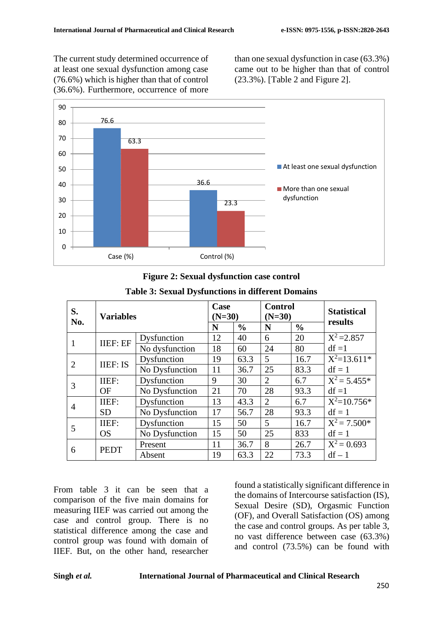The current study determined occurrence of at least one sexual dysfunction among case (76.6%) which is higher than that of control (36.6%). Furthermore, occurrence of more

than one sexual dysfunction in case (63.3%) came out to be higher than that of control (23.3%). [Table 2 and Figure 2].



# **Figure 2: Sexual dysfunction case control**

| S.<br><b>Variables</b><br>No. |                 |                | Case<br>$(N=30)$ |               | <b>Control</b><br>$(N=30)$ |               | <b>Statistical</b><br>results |  |
|-------------------------------|-----------------|----------------|------------------|---------------|----------------------------|---------------|-------------------------------|--|
|                               |                 |                | N                | $\frac{6}{6}$ | N                          | $\frac{0}{0}$ |                               |  |
|                               | <b>IIEF: EF</b> | Dysfunction    | 12               | 40            | 6                          | 20            | $X^2 = 2.857$                 |  |
|                               |                 | No dysfunction | 18               | 60            | 24                         | 80            | $df = 1$                      |  |
| 2                             | <b>IIEF: IS</b> | Dysfunction    | 19               | 63.3          | 5                          | 16.7          | $X^2=13.611*$                 |  |
|                               |                 | No Dysfunction | 11               | 36.7          | 25                         | 83.3          | $df = 1$                      |  |
| 3                             | IIEF:           | Dysfunction    | 9                | 30            | $\overline{2}$             | 6.7           | $X^2 = 5.455*$                |  |
|                               | <b>OF</b>       | No Dysfunction | 21               | 70            | 28                         | 93.3          | $df = 1$                      |  |
|                               | IIEF:           | Dysfunction    | 13               | 43.3          | $\overline{2}$             | 6.7           | $X^2=10.756*$                 |  |
| $\overline{4}$                | <b>SD</b>       | No Dysfunction | 17               | 56.7          | 28                         | 93.3          | $df = 1$                      |  |
|                               | IIEF:           | Dysfunction    | 15               | 50            | 5                          | 16.7          | $X^2 = 7.500*$                |  |
| 5                             | <b>OS</b>       | No Dysfunction | 15               | 50            | 25                         | 833           | $df = 1$                      |  |
|                               | <b>PEDT</b>     | Present        | 11               | 36.7          | 8                          | 26.7          | $X^2 = 0.693$                 |  |
| 6                             |                 | Absent         | 19               | 63.3          | 22                         | 73.3          | $df - 1$                      |  |

## **Table 3: Sexual Dysfunctions in different Domains**

From table 3 it can be seen that a comparison of the five main domains for measuring IIEF was carried out among the case and control group. There is no statistical difference among the case and control group was found with domain of IIEF. But, on the other hand, researcher found a statistically significant difference in the domains of Intercourse satisfaction (IS), Sexual Desire (SD), Orgasmic Function (OF), and Overall Satisfaction (OS) among the case and control groups. As per table 3, no vast difference between case (63.3%) and control (73.5%) can be found with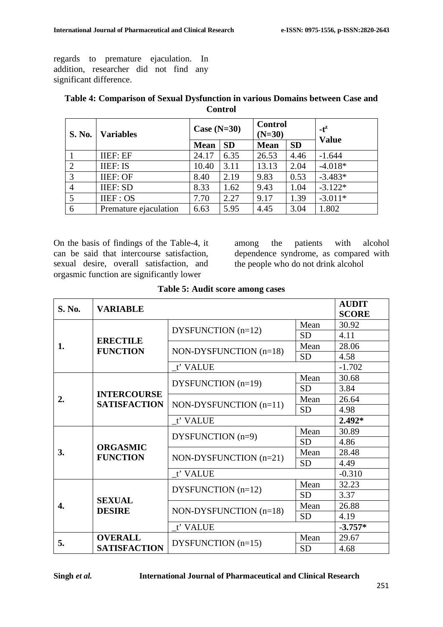regards to premature ejaculation. In addition, researcher did not find any significant difference.

| Table 4: Comparison of Sexual Dysfunction in various Domains between Case and |  |
|-------------------------------------------------------------------------------|--|
| <b>Control</b>                                                                |  |

| <b>S. No.</b>  | <b>Variables</b>      | <b>Control</b><br>Case $(N=30)$<br>$(N=30)$ |           |             | $-t^z$<br><b>Value</b> |           |
|----------------|-----------------------|---------------------------------------------|-----------|-------------|------------------------|-----------|
|                |                       | <b>Mean</b>                                 | <b>SD</b> | <b>Mean</b> | <b>SD</b>              |           |
|                | <b>IIEF: EF</b>       | 24.17                                       | 6.35      | 26.53       | 4.46                   | $-1.644$  |
| 2              | <b>IIEF: IS</b>       | 10.40                                       | 3.11      | 13.13       | 2.04                   | $-4.018*$ |
| 3              | <b>IIEF: OF</b>       | 8.40                                        | 2.19      | 9.83        | 0.53                   | $-3.483*$ |
| $\overline{4}$ | <b>IIEF: SD</b>       | 8.33                                        | 1.62      | 9.43        | 1.04                   | $-3.122*$ |
| 5              | IIEF: OS              | 7.70                                        | 2.27      | 9.17        | 1.39                   | $-3.011*$ |
| 6              | Premature ejaculation | 6.63                                        | 5.95      | 4.45        | 3.04                   | 1.802     |

On the basis of findings of the Table-4, it can be said that intercourse satisfaction, sexual desire, overall satisfaction, and orgasmic function are significantly lower

among the patients with alcohol dependence syndrome, as compared with the people who do not drink alcohol

| Table 5: Audit score among cases |  |  |  |  |
|----------------------------------|--|--|--|--|
|----------------------------------|--|--|--|--|

| S. No. | <b>VARIABLE</b>                    |                          |                                | <b>AUDIT</b><br><b>SCORE</b> |
|--------|------------------------------------|--------------------------|--------------------------------|------------------------------|
|        |                                    |                          | Mean                           | 30.92                        |
| 1.     |                                    | DYSFUNCTION (n=12)       | <b>SD</b>                      | 4.11                         |
|        | <b>ERECTILE</b><br><b>FUNCTION</b> |                          | Mean                           | 28.06                        |
|        |                                    | NON-DYSFUNCTION $(n=18)$ | <b>SD</b>                      | 4.58                         |
|        |                                    | t' VALUE                 |                                | $-1.702$                     |
|        |                                    | DYSFUNCTION (n=19)       | Mean                           | 30.68                        |
|        | <b>INTERCOURSE</b>                 |                          | <b>SD</b><br>Mean<br><b>SD</b> | 3.84                         |
| 2.     | <b>SATISFACTION</b>                | NON-DYSFUNCTION $(n=11)$ |                                | 26.64                        |
|        |                                    |                          |                                | 4.98                         |
|        |                                    | t' VALUE                 |                                | $2.492*$                     |
|        |                                    | DYSFUNCTION (n=9)        | Mean                           | 30.89                        |
|        | <b>ORGASMIC</b>                    |                          | <b>SD</b>                      | 4.86                         |
| 3.     | <b>FUNCTION</b>                    | NON-DYSFUNCTION (n=21)   | Mean                           | 28.48                        |
|        |                                    |                          | <b>SD</b>                      | 4.49                         |
|        |                                    | t' VALUE                 |                                |                              |
|        |                                    | DYSFUNCTION (n=12)       | Mean                           | 32.23                        |
|        | <b>SEXUAL</b>                      |                          | <b>SD</b>                      | 3.37                         |
| 4.     | <b>DESIRE</b>                      | NON-DYSFUNCTION $(n=18)$ | Mean                           | 26.88                        |
|        |                                    |                          | <b>SD</b>                      | 4.19                         |
|        |                                    | t' VALUE                 |                                | $-3.757*$                    |
|        | <b>OVERALL</b>                     | DYSFUNCTION $(n=15)$     | Mean                           | 29.67                        |
| 5.     | <b>SATISFACTION</b>                |                          | <b>SD</b>                      | 4.68                         |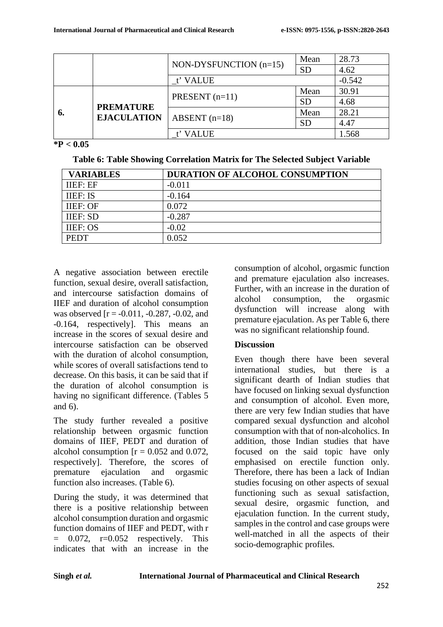|    |                    | NON-DYSFUNCTION $(n=15)$ | Mean      | 28.73    |
|----|--------------------|--------------------------|-----------|----------|
|    |                    |                          | <b>SD</b> | 4.62     |
|    |                    | t' VALUE                 |           | $-0.542$ |
|    |                    |                          | Mean      | 30.91    |
|    | <b>PREMATURE</b>   | PRESENT $(n=11)$         | <b>SD</b> | 4.68     |
| 6. | <b>EJACULATION</b> |                          | Mean      | 28.21    |
|    |                    | $ABSENT(n=18)$           | <b>SD</b> | 4.47     |
|    |                    | t' VALUE                 |           | 1.568    |

**\*P < 0.05**

| Table 6: Table Showing Correlation Matrix for The Selected Subject Variable |  |
|-----------------------------------------------------------------------------|--|
|-----------------------------------------------------------------------------|--|

| <b>VARIABLES</b> | DURATION OF ALCOHOL CONSUMPTION |
|------------------|---------------------------------|
| <b>IIEF: EF</b>  | $-0.011$                        |
| <b>IIEF: IS</b>  | $-0.164$                        |
| <b>IIEF: OF</b>  | 0.072                           |
| <b>IIEF: SD</b>  | $-0.287$                        |
| <b>IIEF: OS</b>  | $-0.02$                         |
| <b>PEDT</b>      | 0.052                           |

A negative association between erectile function, sexual desire, overall satisfaction, and intercourse satisfaction domains of IIEF and duration of alcohol consumption was observed  $[r = -0.011, -0.287, -0.02,$  and -0.164, respectively]. This means an increase in the scores of sexual desire and intercourse satisfaction can be observed with the duration of alcohol consumption. while scores of overall satisfactions tend to decrease. On this basis, it can be said that if the duration of alcohol consumption is having no significant difference. (Tables 5 and 6).

The study further revealed a positive relationship between orgasmic function domains of IIEF, PEDT and duration of alcohol consumption  $[r = 0.052$  and 0.072, respectively]. Therefore, the scores of premature ejaculation and orgasmic function also increases. (Table 6).

During the study, it was determined that there is a positive relationship between alcohol consumption duration and orgasmic function domains of IIEF and PEDT, with r  $= 0.072$ ,  $r=0.052$  respectively. This indicates that with an increase in the consumption of alcohol, orgasmic function and premature ejaculation also increases. Further, with an increase in the duration of alcohol consumption, the orgasmic dysfunction will increase along with premature ejaculation. As per Table 6, there was no significant relationship found.

## **Discussion**

Even though there have been several international studies, but there is a significant dearth of Indian studies that have focused on linking sexual dysfunction and consumption of alcohol. Even more, there are very few Indian studies that have compared sexual dysfunction and alcohol consumption with that of non-alcoholics. In addition, those Indian studies that have focused on the said topic have only emphasised on erectile function only. Therefore, there has been a lack of Indian studies focusing on other aspects of sexual functioning such as sexual satisfaction, sexual desire, orgasmic function, and ejaculation function. In the current study, samples in the control and case groups were well-matched in all the aspects of their socio-demographic profiles.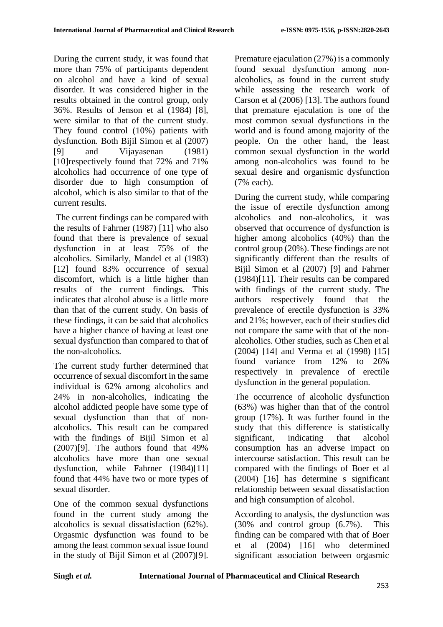During the current study, it was found that more than 75% of participants dependent on alcohol and have a kind of sexual disorder. It was considered higher in the results obtained in the control group, only 36%. Results of Jenson et al (1984) [8], were similar to that of the current study. They found control (10%) patients with dysfunction. Both Bijil Simon et al (2007) [9] and Vijayasenan (1981) [10]respectively found that 72% and 71% alcoholics had occurrence of one type of disorder due to high consumption of alcohol, which is also similar to that of the current results.

The current findings can be compared with the results of Fahrner (1987) [11] who also found that there is prevalence of sexual dysfunction in at least 75% of the alcoholics. Similarly, Mandel et al (1983) [12] found 83% occurrence of sexual discomfort, which is a little higher than results of the current findings. This indicates that alcohol abuse is a little more than that of the current study. On basis of these findings, it can be said that alcoholics have a higher chance of having at least one sexual dysfunction than compared to that of the non-alcoholics.

The current study further determined that occurrence of sexual discomfort in the same individual is 62% among alcoholics and 24% in non-alcoholics, indicating the alcohol addicted people have some type of sexual dysfunction than that of nonalcoholics. This result can be compared with the findings of Bijil Simon et all (2007)[9]. The authors found that 49% alcoholics have more than one sexual dysfunction, while Fahrner (1984)[11] found that 44% have two or more types of sexual disorder.

One of the common sexual dysfunctions found in the current study among the alcoholics is sexual dissatisfaction (62%). Orgasmic dysfunction was found to be among the least common sexual issue found in the study of Bijil Simon et al (2007)[9].

Premature ejaculation (27%) is a commonly found sexual dysfunction among nonalcoholics, as found in the current study while assessing the research work of Carson et al (2006) [13]. The authors found that premature ejaculation is one of the most common sexual dysfunctions in the world and is found among majority of the people. On the other hand, the least common sexual dysfunction in the world among non-alcoholics was found to be sexual desire and organismic dysfunction (7% each).

During the current study, while comparing the issue of erectile dysfunction among alcoholics and non-alcoholics, it was observed that occurrence of dysfunction is higher among alcoholics (40%) than the control group (20%). These findings are not significantly different than the results of Bijil Simon et al (2007) [9] and Fahrner (1984)[11]. Their results can be compared with findings of the current study. The authors respectively found that the prevalence of erectile dysfunction is 33% and 21%; however, each of their studies did not compare the same with that of the nonalcoholics. Other studies, such as Chen et al (2004) [14] and Verma et al (1998) [15] found variance from 12% to 26% respectively in prevalence of erectile dysfunction in the general population.

The occurrence of alcoholic dysfunction (63%) was higher than that of the control group (17%). It was further found in the study that this difference is statistically significant, indicating that alcohol consumption has an adverse impact on intercourse satisfaction. This result can be compared with the findings of Boer et al (2004) [16] has determine s significant relationship between sexual dissatisfaction and high consumption of alcohol.

According to analysis, the dysfunction was (30% and control group (6.7%). This finding can be compared with that of Boer et al (2004) [16] who determined significant association between orgasmic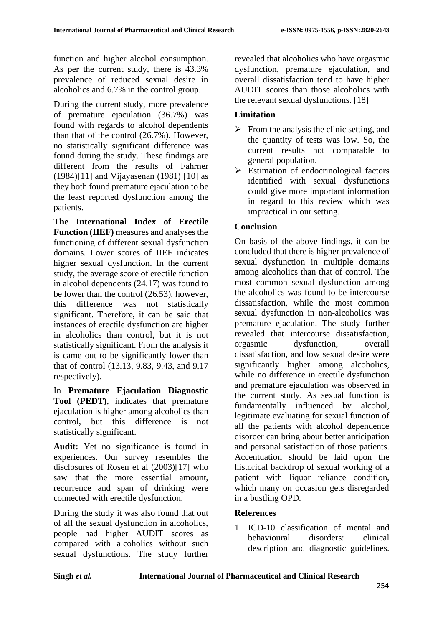function and higher alcohol consumption. As per the current study, there is 43.3% prevalence of reduced sexual desire in alcoholics and 6.7% in the control group.

During the current study, more prevalence of premature ejaculation (36.7%) was found with regards to alcohol dependents than that of the control (26.7%). However, no statistically significant difference was found during the study. These findings are different from the results of Fahrner (1984)[11] and Vijayasenan (1981) [10] as they both found premature ejaculation to be the least reported dysfunction among the patients.

**The International Index of Erectile Function (IIEF)** measures and analyses the functioning of different sexual dysfunction domains. Lower scores of IIEF indicates higher sexual dysfunction. In the current study, the average score of erectile function in alcohol dependents (24.17) was found to be lower than the control (26.53), however, this difference was not statistically significant. Therefore, it can be said that instances of erectile dysfunction are higher in alcoholics than control, but it is not statistically significant. From the analysis it is came out to be significantly lower than that of control (13.13, 9.83, 9.43, and 9.17 respectively).

In **Premature Ejaculation Diagnostic Tool (PEDT)**, indicates that premature ejaculation is higher among alcoholics than control, but this difference is not statistically significant.

**Audit:** Yet no significance is found in experiences. Our survey resembles the disclosures of Rosen et al (2003)[17] who saw that the more essential amount, recurrence and span of drinking were connected with erectile dysfunction.

During the study it was also found that out of all the sexual dysfunction in alcoholics, people had higher AUDIT scores as compared with alcoholics without such sexual dysfunctions. The study further revealed that alcoholics who have orgasmic dysfunction, premature ejaculation, and overall dissatisfaction tend to have higher AUDIT scores than those alcoholics with the relevant sexual dysfunctions. [18]

# **Limitation**

- $\triangleright$  From the analysis the clinic setting, and the quantity of tests was low. So, the current results not comparable to general population.
- $\triangleright$  Estimation of endocrinological factors identified with sexual dysfunctions could give more important information in regard to this review which was impractical in our setting.

## **Conclusion**

On basis of the above findings, it can be concluded that there is higher prevalence of sexual dysfunction in multiple domains among alcoholics than that of control. The most common sexual dysfunction among the alcoholics was found to be intercourse dissatisfaction, while the most common sexual dysfunction in non-alcoholics was premature ejaculation. The study further revealed that intercourse dissatisfaction, orgasmic dysfunction, overall dissatisfaction, and low sexual desire were significantly higher among alcoholics, while no difference in erectile dysfunction and premature ejaculation was observed in the current study. As sexual function is fundamentally influenced by alcohol, legitimate evaluating for sexual function of all the patients with alcohol dependence disorder can bring about better anticipation and personal satisfaction of those patients. Accentuation should be laid upon the historical backdrop of sexual working of a patient with liquor reliance condition, which many on occasion gets disregarded in a bustling OPD.

## **References**

1. ICD-10 classification of mental and behavioural disorders: clinical description and diagnostic guidelines.